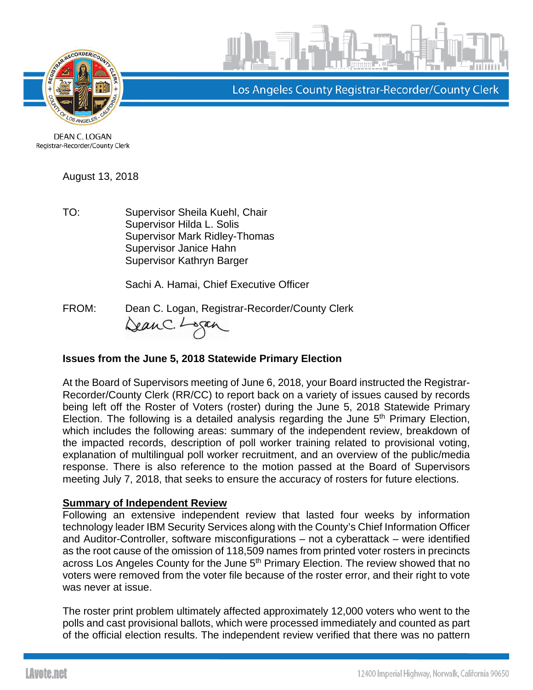



Los Angeles County Registrar-Recorder/County Clerk

DEAN C. LOGAN Registrar-Recorder/County Clerk

August 13, 2018

TO: Supervisor Sheila Kuehl, Chair Supervisor Hilda L. Solis Supervisor Mark Ridley-Thomas Supervisor Janice Hahn Supervisor Kathryn Barger

Sachi A. Hamai, Chief Executive Officer

FROM: Dean C. Logan, Registrar-Recorder/County Clerk<br>Can C. Logan, Registrar-Recorder/County Clerk

## **Issues from the June 5, 2018 Statewide Primary Election**

At the Board of Supervisors meeting of June 6, 2018, your Board instructed the Registrar-Recorder/County Clerk (RR/CC) to report back on a variety of issues caused by records being left off the Roster of Voters (roster) during the June 5, 2018 Statewide Primary Election. The following is a detailed analysis regarding the June  $5<sup>th</sup>$  Primary Election, which includes the following areas: summary of the independent review, breakdown of the impacted records, description of poll worker training related to provisional voting, explanation of multilingual poll worker recruitment, and an overview of the public/media response. There is also reference to the motion passed at the Board of Supervisors meeting July 7, 2018, that seeks to ensure the accuracy of rosters for future elections.

## **Summary of Independent Review**

Following an extensive independent review that lasted four weeks by information technology leader IBM Security Services along with the County's Chief Information Officer and Auditor-Controller, software misconfigurations – not a cyberattack – were identified as the root cause of the omission of 118,509 names from printed voter rosters in precincts across Los Angeles County for the June 5<sup>th</sup> Primary Election. The review showed that no voters were removed from the voter file because of the roster error, and their right to vote was never at issue.

The roster print problem ultimately affected approximately 12,000 voters who went to the polls and cast provisional ballots, which were processed immediately and counted as part of the official election results. The independent review verified that there was no pattern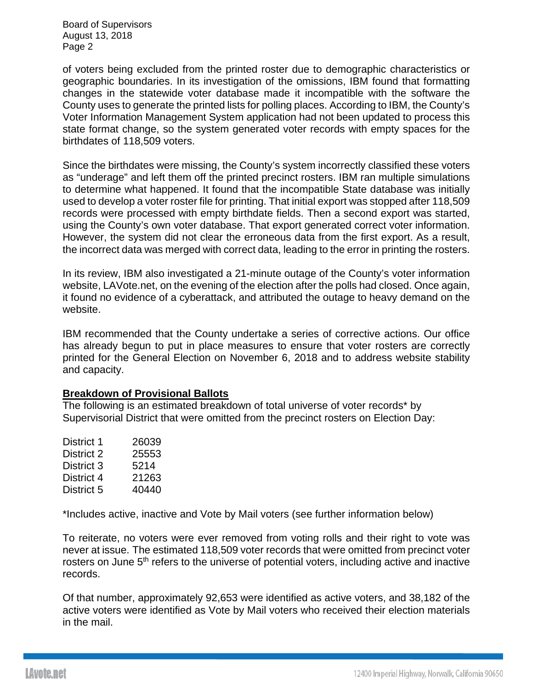Board of Supervisors August 13, 2018 Page 2

of voters being excluded from the printed roster due to demographic characteristics or geographic boundaries. In its investigation of the omissions, IBM found that formatting changes in the statewide voter database made it incompatible with the software the County uses to generate the printed lists for polling places. According to IBM, the County's Voter Information Management System application had not been updated to process this state format change, so the system generated voter records with empty spaces for the birthdates of 118,509 voters.

Since the birthdates were missing, the County's system incorrectly classified these voters as "underage" and left them off the printed precinct rosters. IBM ran multiple simulations to determine what happened. It found that the incompatible State database was initially used to develop a voter roster file for printing. That initial export was stopped after 118,509 records were processed with empty birthdate fields. Then a second export was started, using the County's own voter database. That export generated correct voter information. However, the system did not clear the erroneous data from the first export. As a result, the incorrect data was merged with correct data, leading to the error in printing the rosters.

In its review, IBM also investigated a 21-minute outage of the County's voter information website, LAVote.net, on the evening of the election after the polls had closed. Once again, it found no evidence of a cyberattack, and attributed the outage to heavy demand on the website.

IBM recommended that the County undertake a series of corrective actions. Our office has already begun to put in place measures to ensure that voter rosters are correctly printed for the General Election on November 6, 2018 and to address website stability and capacity.

## **Breakdown of Provisional Ballots**

The following is an estimated breakdown of total universe of voter records\* by Supervisorial District that were omitted from the precinct rosters on Election Day:

| District 1 | 26039 |
|------------|-------|
| District 2 | 25553 |
| District 3 | 5214  |
| District 4 | 21263 |
| District 5 | 40440 |

\*Includes active, inactive and Vote by Mail voters (see further information below)

To reiterate, no voters were ever removed from voting rolls and their right to vote was never at issue. The estimated 118,509 voter records that were omitted from precinct voter rosters on June 5<sup>th</sup> refers to the universe of potential voters, including active and inactive records.

Of that number, approximately 92,653 were identified as active voters, and 38,182 of the active voters were identified as Vote by Mail voters who received their election materials in the mail.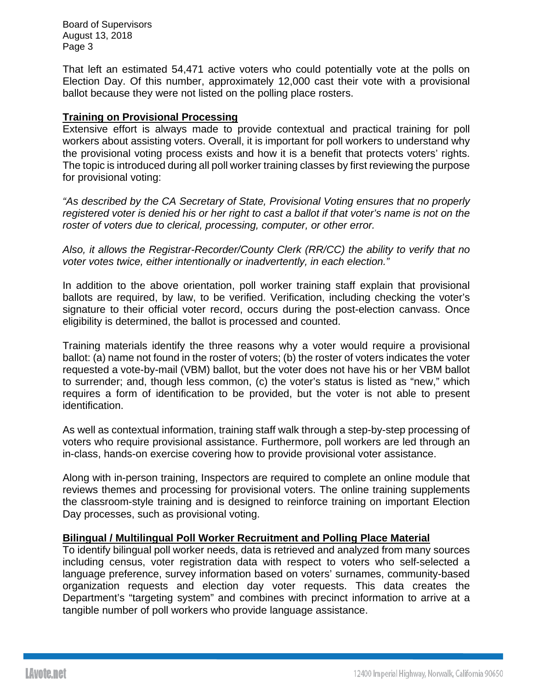Board of Supervisors August 13, 2018 Page 3

That left an estimated 54,471 active voters who could potentially vote at the polls on Election Day. Of this number, approximately 12,000 cast their vote with a provisional ballot because they were not listed on the polling place rosters.

## **Training on Provisional Processing**

Extensive effort is always made to provide contextual and practical training for poll workers about assisting voters. Overall, it is important for poll workers to understand why the provisional voting process exists and how it is a benefit that protects voters' rights. The topic is introduced during all poll worker training classes by first reviewing the purpose for provisional voting:

*"As described by the CA Secretary of State, Provisional Voting ensures that no properly registered voter is denied his or her right to cast a ballot if that voter's name is not on the roster of voters due to clerical, processing, computer, or other error.*

*Also, it allows the Registrar-Recorder/County Clerk (RR/CC) the ability to verify that no voter votes twice, either intentionally or inadvertently, in each election."*

In addition to the above orientation, poll worker training staff explain that provisional ballots are required, by law, to be verified. Verification, including checking the voter's signature to their official voter record, occurs during the post-election canvass. Once eligibility is determined, the ballot is processed and counted.

Training materials identify the three reasons why a voter would require a provisional ballot: (a) name not found in the roster of voters; (b) the roster of voters indicates the voter requested a vote-by-mail (VBM) ballot, but the voter does not have his or her VBM ballot to surrender; and, though less common, (c) the voter's status is listed as "new," which requires a form of identification to be provided, but the voter is not able to present identification.

As well as contextual information, training staff walk through a step-by-step processing of voters who require provisional assistance. Furthermore, poll workers are led through an in-class, hands-on exercise covering how to provide provisional voter assistance.

Along with in-person training, Inspectors are required to complete an online module that reviews themes and processing for provisional voters. The online training supplements the classroom-style training and is designed to reinforce training on important Election Day processes, such as provisional voting.

## **Bilingual / Multilingual Poll Worker Recruitment and Polling Place Material**

To identify bilingual poll worker needs, data is retrieved and analyzed from many sources including census, voter registration data with respect to voters who self-selected a language preference, survey information based on voters' surnames, community-based organization requests and election day voter requests. This data creates the Department's "targeting system" and combines with precinct information to arrive at a tangible number of poll workers who provide language assistance.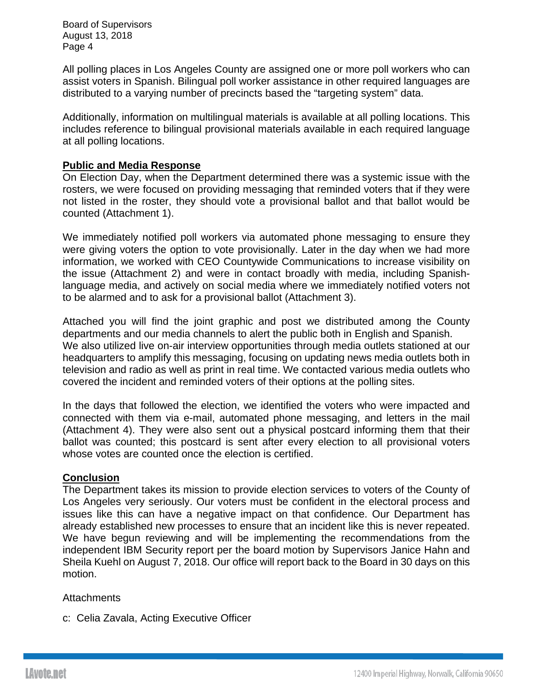Board of Supervisors August 13, 2018 Page 4

All polling places in Los Angeles County are assigned one or more poll workers who can assist voters in Spanish. Bilingual poll worker assistance in other required languages are distributed to a varying number of precincts based the "targeting system" data.

Additionally, information on multilingual materials is available at all polling locations. This includes reference to bilingual provisional materials available in each required language at all polling locations.

## **Public and Media Response**

On Election Day, when the Department determined there was a systemic issue with the rosters, we were focused on providing messaging that reminded voters that if they were not listed in the roster, they should vote a provisional ballot and that ballot would be counted (Attachment 1).

We immediately notified poll workers via automated phone messaging to ensure they were giving voters the option to vote provisionally. Later in the day when we had more information, we worked with CEO Countywide Communications to increase visibility on the issue (Attachment 2) and were in contact broadly with media, including Spanishlanguage media, and actively on social media where we immediately notified voters not to be alarmed and to ask for a provisional ballot (Attachment 3).

Attached you will find the joint graphic and post we distributed among the County departments and our media channels to alert the public both in English and Spanish. We also utilized live on-air interview opportunities through media outlets stationed at our headquarters to amplify this messaging, focusing on updating news media outlets both in television and radio as well as print in real time. We contacted various media outlets who covered the incident and reminded voters of their options at the polling sites.

In the days that followed the election, we identified the voters who were impacted and connected with them via e-mail, automated phone messaging, and letters in the mail (Attachment 4). They were also sent out a physical postcard informing them that their ballot was counted; this postcard is sent after every election to all provisional voters whose votes are counted once the election is certified.

### **Conclusion**

The Department takes its mission to provide election services to voters of the County of Los Angeles very seriously. Our voters must be confident in the electoral process and issues like this can have a negative impact on that confidence. Our Department has already established new processes to ensure that an incident like this is never repeated. We have begun reviewing and will be implementing the recommendations from the independent IBM Security report per the board motion by Supervisors Janice Hahn and Sheila Kuehl on August 7, 2018. Our office will report back to the Board in 30 days on this motion.

### **Attachments**

c: Celia Zavala, Acting Executive Officer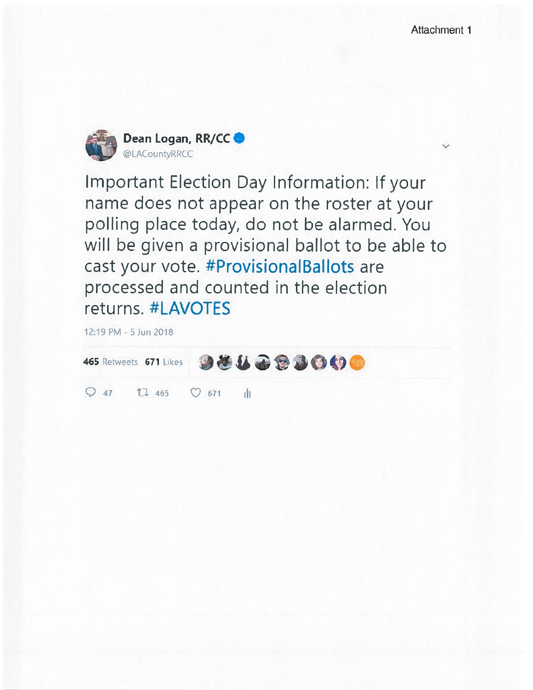

**Important Election Day Information: If your** name does not appear on the roster at your polling place today, do not be alarmed. You will be given a provisional ballot to be able to cast your vote. #ProvisionalBallots are processed and counted in the election returns. #LAVOTES

12:19 PM - 5 Jun 2018

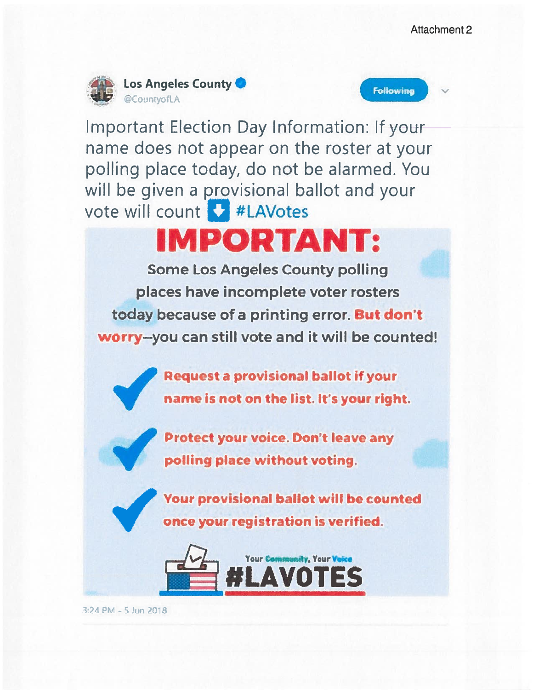





Important Election Day Information: If your name does not appear on the roster at your polling place today, do not be alarmed. You will be given a provisional ballot and your vote will count #LAVotes

# **IMPORTANT:**

**Some Los Angeles County polling** places have incomplete voter rosters today because of a printing error. But don't worry-you can still vote and it will be counted!

> **Request a provisional ballot if your** name is not on the list. It's your right.



Your provisional ballot will be counted once your registration is verified.



3:24 PM - 5 Jun 2018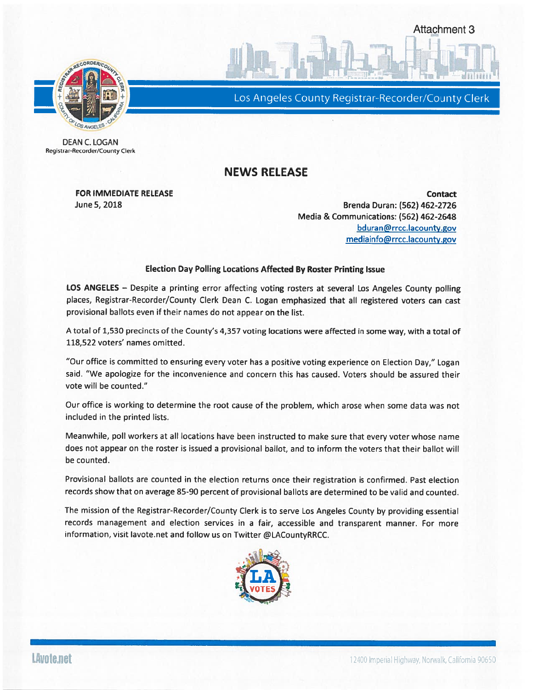

Los Angeles County Registrar-Recorder/County Clerk

**Attachment 3** 

**DEAN C. LOGAN** Registrar-Recorder/County Clerk

## **NEWS RELEASE**

**FOR IMMEDIATE RELEASE** June 5, 2018

**Contact** Brenda Duran: (562) 462-2726 Media & Communications: (562) 462-2648 bduran@rrcc.lacounty.gov mediainfo@rrcc.lacounty.gov

#### **Election Day Polling Locations Affected By Roster Printing Issue**

LOS ANGELES - Despite a printing error affecting voting rosters at several Los Angeles County polling places, Registrar-Recorder/County Clerk Dean C. Logan emphasized that all registered voters can cast provisional ballots even if their names do not appear on the list.

A total of 1,530 precincts of the County's 4,357 voting locations were affected in some way, with a total of 118.522 voters' names omitted.

"Our office is committed to ensuring every voter has a positive voting experience on Election Day," Logan said. "We apologize for the inconvenience and concern this has caused. Voters should be assured their vote will be counted."

Our office is working to determine the root cause of the problem, which arose when some data was not included in the printed lists.

Meanwhile, poll workers at all locations have been instructed to make sure that every voter whose name does not appear on the roster is issued a provisional ballot, and to inform the voters that their ballot will be counted.

Provisional ballots are counted in the election returns once their registration is confirmed. Past election records show that on average 85-90 percent of provisional ballots are determined to be valid and counted.

The mission of the Registrar-Recorder/County Clerk is to serve Los Angeles County by providing essential records management and election services in a fair, accessible and transparent manner. For more information, visit lavote.net and follow us on Twitter @LACountyRRCC.